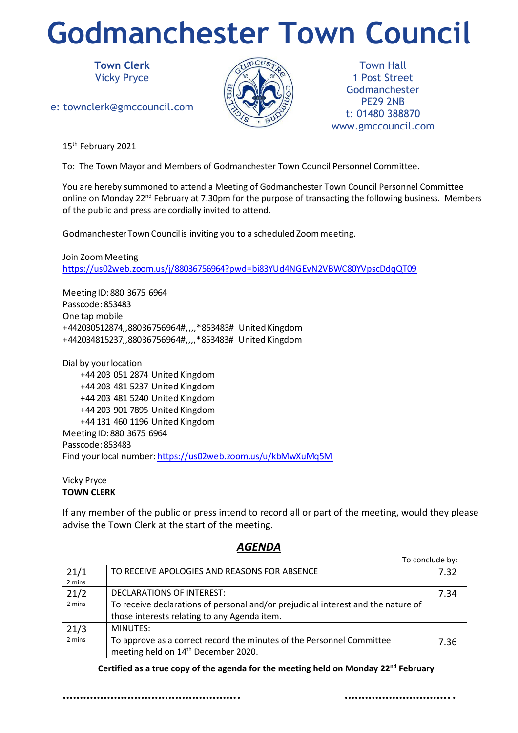## **Godmanchester Town Council**

**Town Clerk** Vicky Pryce

e: townclerk@gmccouncil.com



Town Hall 1 Post Street Godmanchester PE29 2NB t: 01480 388870 www.gmccouncil.com

15<sup>th</sup> February 2021

To: The Town Mayor and Members of Godmanchester Town Council Personnel Committee.

You are hereby summoned to attend a Meeting of Godmanchester Town Council Personnel Committee online on Monday 22<sup>nd</sup> February at 7.30pm for the purpose of transacting the following business. Members of the public and press are cordially invited to attend.

Godmanchester Town Council is inviting you to a scheduled Zoom meeting.

Join Zoom Meeting https://us02web.zoom.us/j/88036756964?pwd=bi83YUd4NGEvN2VBWC80YVpscDdqQT09

Meeting ID: 880 3675 6964 Passcode: 853483 One tap mobile +442030512874,,88036756964#,,,,\*853483# United Kingdom +442034815237,,88036756964#,,,,\*853483# United Kingdom

Dial by your location +44 203 051 2874 United Kingdom +44 203 481 5237 United Kingdom +44 203 481 5240 United Kingdom +44 203 901 7895 United Kingdom +44 131 460 1196 United Kingdom Meeting ID: 880 3675 6964 Passcode: 853483 Find your local number: https://us02web.zoom.us/u/kbMwXuMq5M

## Vicky Pryce **TOWN CLERK**

If any member of the public or press intend to record all or part of the meeting, would they please advise the Town Clerk at the start of the meeting.

| 21/1   | TO RECEIVE APOLOGIES AND REASONS FOR ABSENCE                                      | 7.32 |
|--------|-----------------------------------------------------------------------------------|------|
| 2 mins |                                                                                   |      |
| 21/2   | DECLARATIONS OF INTEREST:                                                         | 7.34 |
| 2 mins | To receive declarations of personal and/or prejudicial interest and the nature of |      |
|        | those interests relating to any Agenda item.                                      |      |
| 21/3   | MINUTES:                                                                          |      |
| 2 mins | To approve as a correct record the minutes of the Personnel Committee             | 7.36 |
|        | meeting held on 14 <sup>th</sup> December 2020.                                   |      |

## *AGENDA*

**Certified as a true copy of the agenda for the meeting held on Monday 22nd February**

……………………………………………. ………………………….. M

To conclude by: